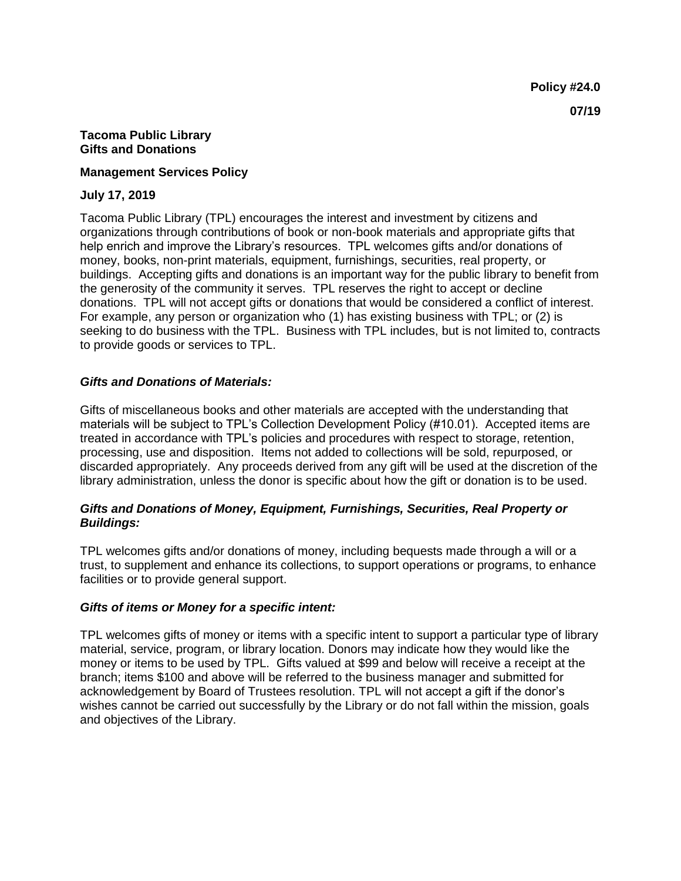#### **Tacoma Public Library Gifts and Donations**

#### **Management Services Policy**

#### **July 17, 2019**

Tacoma Public Library (TPL) encourages the interest and investment by citizens and organizations through contributions of book or non-book materials and appropriate gifts that help enrich and improve the Library's resources. TPL welcomes gifts and/or donations of money, books, non-print materials, equipment, furnishings, securities, real property, or buildings. Accepting gifts and donations is an important way for the public library to benefit from the generosity of the community it serves. TPL reserves the right to accept or decline donations. TPL will not accept gifts or donations that would be considered a conflict of interest. For example, any person or organization who (1) has existing business with TPL; or (2) is seeking to do business with the TPL. Business with TPL includes, but is not limited to, contracts to provide goods or services to TPL.

# *Gifts and Donations of Materials:*

Gifts of miscellaneous books and other materials are accepted with the understanding that materials will be subject to TPL's Collection Development Policy (#10.01). Accepted items are treated in accordance with TPL's policies and procedures with respect to storage, retention, processing, use and disposition. Items not added to collections will be sold, repurposed, or discarded appropriately. Any proceeds derived from any gift will be used at the discretion of the library administration, unless the donor is specific about how the gift or donation is to be used.

# *Gifts and Donations of Money, Equipment, Furnishings, Securities, Real Property or Buildings:*

TPL welcomes gifts and/or donations of money, including bequests made through a will or a trust, to supplement and enhance its collections, to support operations or programs, to enhance facilities or to provide general support.

# *Gifts of items or Money for a specific intent:*

TPL welcomes gifts of money or items with a specific intent to support a particular type of library material, service, program, or library location. Donors may indicate how they would like the money or items to be used by TPL. Gifts valued at \$99 and below will receive a receipt at the branch; items \$100 and above will be referred to the business manager and submitted for acknowledgement by Board of Trustees resolution. TPL will not accept a gift if the donor's wishes cannot be carried out successfully by the Library or do not fall within the mission, goals and objectives of the Library.